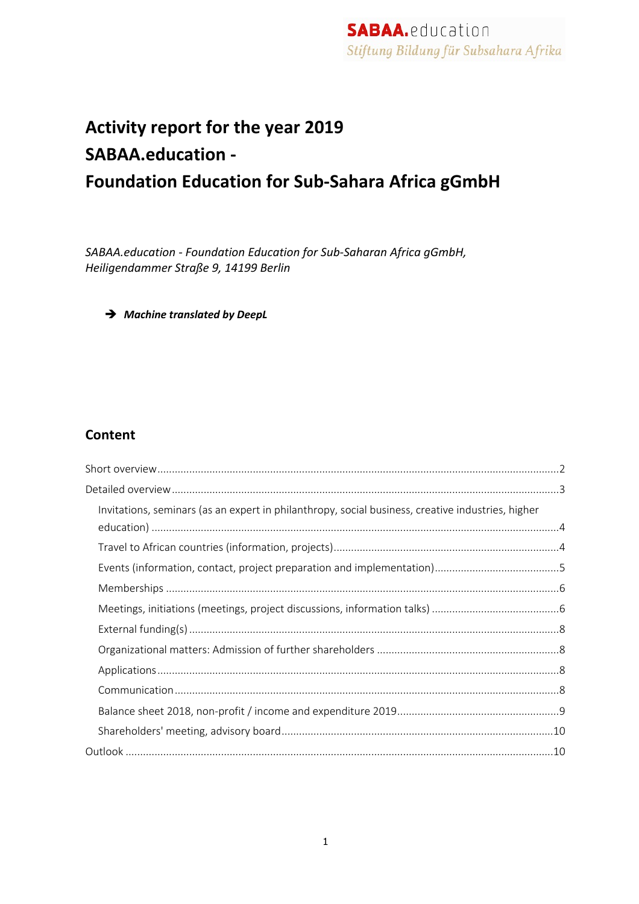# **Activity report for the year 2019 SABAA.education - Foundation Education for Sub-Sahara Africa gGmbH**

*SABAA.education - Foundation Education for Sub-Saharan Africa gGmbH, Heiligendammer Straße 9, 14199 Berlin*

è *Machine translated by DeepL*

#### **Content**

| Invitations, seminars (as an expert in philanthropy, social business, creative industries, higher |  |
|---------------------------------------------------------------------------------------------------|--|
|                                                                                                   |  |
|                                                                                                   |  |
|                                                                                                   |  |
|                                                                                                   |  |
|                                                                                                   |  |
|                                                                                                   |  |
|                                                                                                   |  |
|                                                                                                   |  |
|                                                                                                   |  |
|                                                                                                   |  |
|                                                                                                   |  |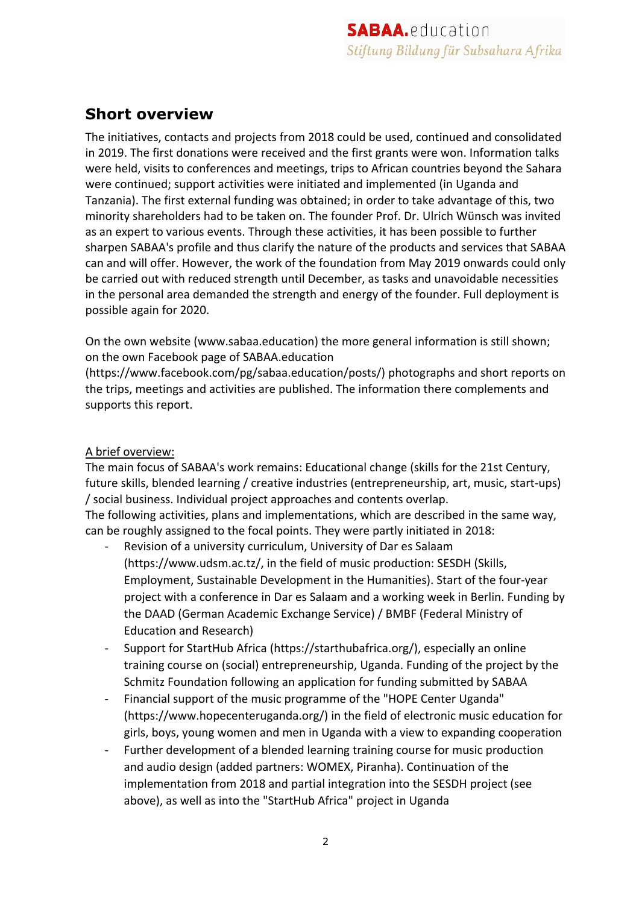## **Short overview**

The initiatives, contacts and projects from 2018 could be used, continued and consolidated in 2019. The first donations were received and the first grants were won. Information talks were held, visits to conferences and meetings, trips to African countries beyond the Sahara were continued; support activities were initiated and implemented (in Uganda and Tanzania). The first external funding was obtained; in order to take advantage of this, two minority shareholders had to be taken on. The founder Prof. Dr. Ulrich Wünsch was invited as an expert to various events. Through these activities, it has been possible to further sharpen SABAA's profile and thus clarify the nature of the products and services that SABAA can and will offer. However, the work of the foundation from May 2019 onwards could only be carried out with reduced strength until December, as tasks and unavoidable necessities in the personal area demanded the strength and energy of the founder. Full deployment is possible again for 2020.

On the own website (www.sabaa.education) the more general information is still shown; on the own Facebook page of SABAA.education

(https://www.facebook.com/pg/sabaa.education/posts/) photographs and short reports on the trips, meetings and activities are published. The information there complements and supports this report.

#### A brief overview:

The main focus of SABAA's work remains: Educational change (skills for the 21st Century, future skills, blended learning / creative industries (entrepreneurship, art, music, start-ups) / social business. Individual project approaches and contents overlap.

The following activities, plans and implementations, which are described in the same way, can be roughly assigned to the focal points. They were partly initiated in 2018:

- Revision of a university curriculum, University of Dar es Salaam (https://www.udsm.ac.tz/, in the field of music production: SESDH (Skills, Employment, Sustainable Development in the Humanities). Start of the four-year project with a conference in Dar es Salaam and a working week in Berlin. Funding by the DAAD (German Academic Exchange Service) / BMBF (Federal Ministry of Education and Research)
- Support for StartHub Africa (https://starthubafrica.org/), especially an online training course on (social) entrepreneurship, Uganda. Funding of the project by the Schmitz Foundation following an application for funding submitted by SABAA
- Financial support of the music programme of the "HOPE Center Uganda" (https://www.hopecenteruganda.org/) in the field of electronic music education for girls, boys, young women and men in Uganda with a view to expanding cooperation
- Further development of a blended learning training course for music production and audio design (added partners: WOMEX, Piranha). Continuation of the implementation from 2018 and partial integration into the SESDH project (see above), as well as into the "StartHub Africa" project in Uganda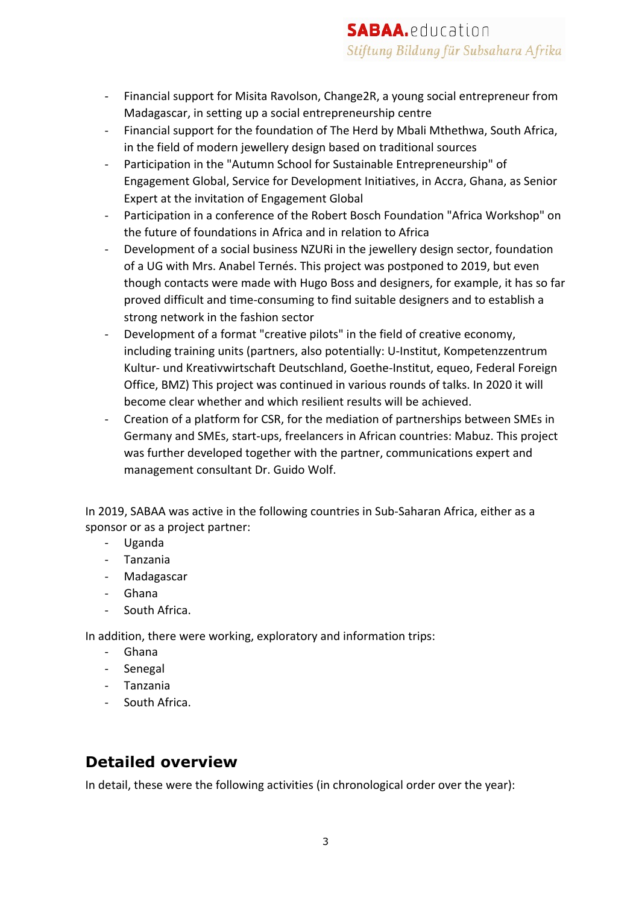- Financial support for Misita Ravolson, Change2R, a young social entrepreneur from Madagascar, in setting up a social entrepreneurship centre
- Financial support for the foundation of The Herd by Mbali Mthethwa, South Africa, in the field of modern jewellery design based on traditional sources
- Participation in the "Autumn School for Sustainable Entrepreneurship" of Engagement Global, Service for Development Initiatives, in Accra, Ghana, as Senior Expert at the invitation of Engagement Global
- Participation in a conference of the Robert Bosch Foundation "Africa Workshop" on the future of foundations in Africa and in relation to Africa
- Development of a social business NZURI in the jewellery design sector, foundation of a UG with Mrs. Anabel Ternés. This project was postponed to 2019, but even though contacts were made with Hugo Boss and designers, for example, it has so far proved difficult and time-consuming to find suitable designers and to establish a strong network in the fashion sector
- Development of a format "creative pilots" in the field of creative economy, including training units (partners, also potentially: U-Institut, Kompetenzzentrum Kultur- und Kreativwirtschaft Deutschland, Goethe-Institut, equeo, Federal Foreign Office, BMZ) This project was continued in various rounds of talks. In 2020 it will become clear whether and which resilient results will be achieved.
- Creation of a platform for CSR, for the mediation of partnerships between SMEs in Germany and SMEs, start-ups, freelancers in African countries: Mabuz. This project was further developed together with the partner, communications expert and management consultant Dr. Guido Wolf.

In 2019, SABAA was active in the following countries in Sub-Saharan Africa, either as a sponsor or as a project partner:

- Uganda
- Tanzania
- Madagascar
- Ghana
- South Africa.

In addition, there were working, exploratory and information trips:

- Ghana
- Senegal
- Tanzania
- South Africa.

### **Detailed overview**

In detail, these were the following activities (in chronological order over the year):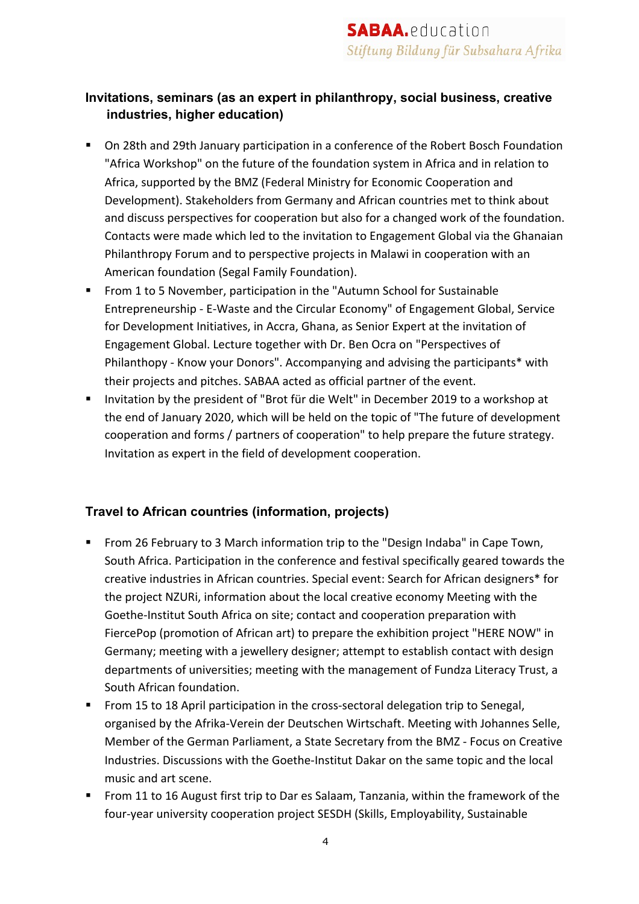#### **Invitations, seminars (as an expert in philanthropy, social business, creative industries, higher education)**

- On 28th and 29th January participation in a conference of the Robert Bosch Foundation "Africa Workshop" on the future of the foundation system in Africa and in relation to Africa, supported by the BMZ (Federal Ministry for Economic Cooperation and Development). Stakeholders from Germany and African countries met to think about and discuss perspectives for cooperation but also for a changed work of the foundation. Contacts were made which led to the invitation to Engagement Global via the Ghanaian Philanthropy Forum and to perspective projects in Malawi in cooperation with an American foundation (Segal Family Foundation).
- From 1 to 5 November, participation in the "Autumn School for Sustainable Entrepreneurship - E-Waste and the Circular Economy" of Engagement Global, Service for Development Initiatives, in Accra, Ghana, as Senior Expert at the invitation of Engagement Global. Lecture together with Dr. Ben Ocra on "Perspectives of Philanthopy - Know your Donors". Accompanying and advising the participants\* with their projects and pitches. SABAA acted as official partner of the event.
- Invitation by the president of "Brot für die Welt" in December 2019 to a workshop at the end of January 2020, which will be held on the topic of "The future of development cooperation and forms / partners of cooperation" to help prepare the future strategy. Invitation as expert in the field of development cooperation.

#### **Travel to African countries (information, projects)**

- From 26 February to 3 March information trip to the "Design Indaba" in Cape Town, South Africa. Participation in the conference and festival specifically geared towards the creative industries in African countries. Special event: Search for African designers\* for the project NZURi, information about the local creative economy Meeting with the Goethe-Institut South Africa on site; contact and cooperation preparation with FiercePop (promotion of African art) to prepare the exhibition project "HERE NOW" in Germany; meeting with a jewellery designer; attempt to establish contact with design departments of universities; meeting with the management of Fundza Literacy Trust, a South African foundation.
- From 15 to 18 April participation in the cross-sectoral delegation trip to Senegal, organised by the Afrika-Verein der Deutschen Wirtschaft. Meeting with Johannes Selle, Member of the German Parliament, a State Secretary from the BMZ - Focus on Creative Industries. Discussions with the Goethe-Institut Dakar on the same topic and the local music and art scene.
- From 11 to 16 August first trip to Dar es Salaam, Tanzania, within the framework of the four-year university cooperation project SESDH (Skills, Employability, Sustainable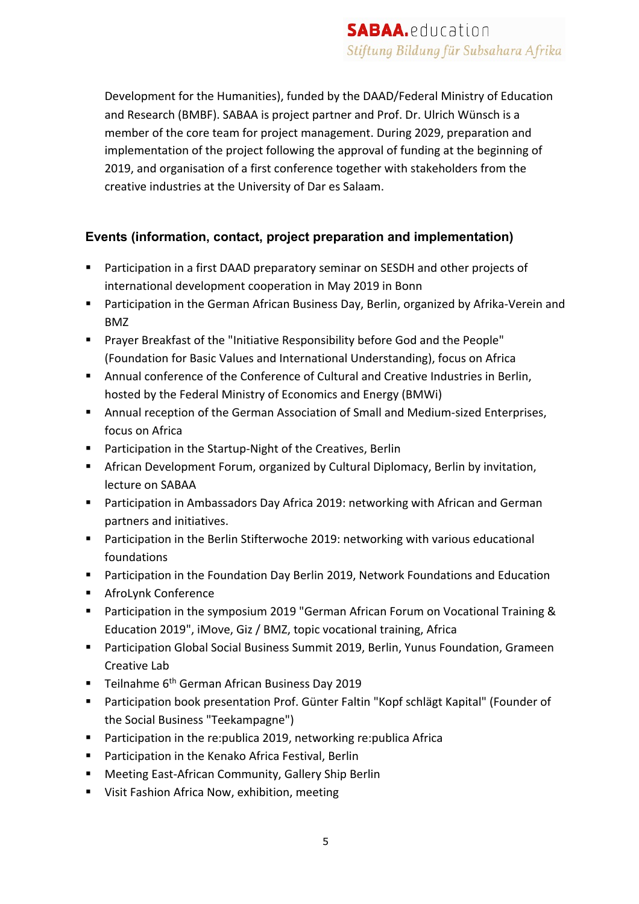Development for the Humanities), funded by the DAAD/Federal Ministry of Education and Research (BMBF). SABAA is project partner and Prof. Dr. Ulrich Wünsch is a member of the core team for project management. During 2029, preparation and implementation of the project following the approval of funding at the beginning of 2019, and organisation of a first conference together with stakeholders from the creative industries at the University of Dar es Salaam.

#### **Events (information, contact, project preparation and implementation)**

- Participation in a first DAAD preparatory seminar on SESDH and other projects of international development cooperation in May 2019 in Bonn
- Participation in the German African Business Day, Berlin, organized by Afrika-Verein and BMZ
- § Prayer Breakfast of the "Initiative Responsibility before God and the People" (Foundation for Basic Values and International Understanding), focus on Africa
- Annual conference of the Conference of Cultural and Creative Industries in Berlin, hosted by the Federal Ministry of Economics and Energy (BMWi)
- Annual reception of the German Association of Small and Medium-sized Enterprises, focus on Africa
- Participation in the Startup-Night of the Creatives, Berlin
- African Development Forum, organized by Cultural Diplomacy, Berlin by invitation, lecture on SABAA
- Participation in Ambassadors Day Africa 2019: networking with African and German partners and initiatives.
- Participation in the Berlin Stifterwoche 2019: networking with various educational foundations
- Participation in the Foundation Day Berlin 2019, Network Foundations and Education
- AfroLynk Conference
- Participation in the symposium 2019 "German African Forum on Vocational Training & Education 2019", iMove, Giz / BMZ, topic vocational training, Africa
- Participation Global Social Business Summit 2019, Berlin, Yunus Foundation, Grameen Creative Lab
- Teilnahme 6<sup>th</sup> German African Business Day 2019
- Participation book presentation Prof. Günter Faltin "Kopf schlägt Kapital" (Founder of the Social Business "Teekampagne")
- Participation in the re:publica 2019, networking re:publica Africa
- Participation in the Kenako Africa Festival, Berlin
- Meeting East-African Community, Gallery Ship Berlin
- Visit Fashion Africa Now, exhibition, meeting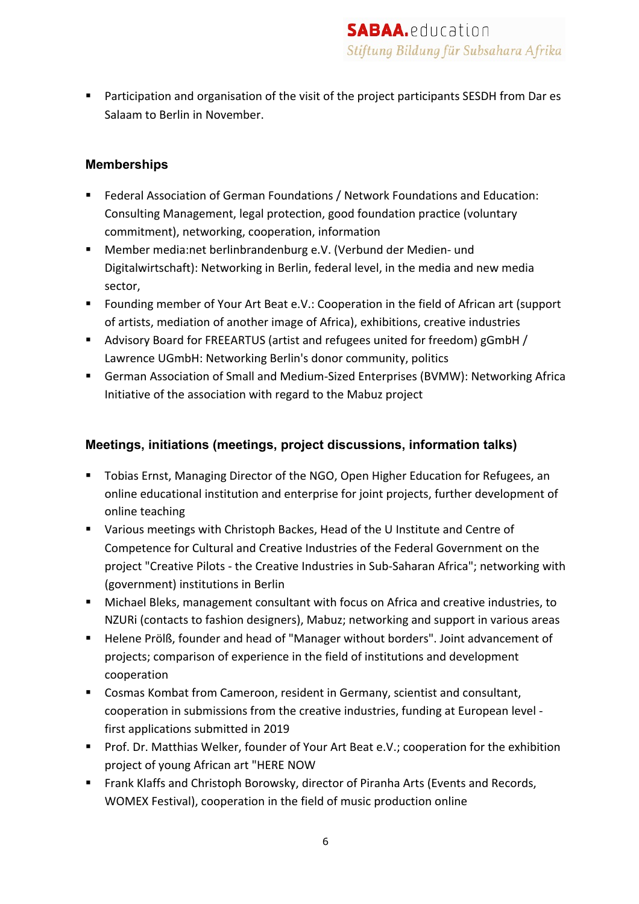■ Participation and organisation of the visit of the project participants SESDH from Dar es Salaam to Berlin in November.

#### **Memberships**

- Federal Association of German Foundations / Network Foundations and Education: Consulting Management, legal protection, good foundation practice (voluntary commitment), networking, cooperation, information
- Member media:net berlinbrandenburg e.V. (Verbund der Medien- und Digitalwirtschaft): Networking in Berlin, federal level, in the media and new media sector,
- Founding member of Your Art Beat e.V.: Cooperation in the field of African art (support of artists, mediation of another image of Africa), exhibitions, creative industries
- Advisory Board for FREEARTUS (artist and refugees united for freedom) gGmbH / Lawrence UGmbH: Networking Berlin's donor community, politics
- German Association of Small and Medium-Sized Enterprises (BVMW): Networking Africa Initiative of the association with regard to the Mabuz project

#### **Meetings, initiations (meetings, project discussions, information talks)**

- Tobias Ernst, Managing Director of the NGO, Open Higher Education for Refugees, an online educational institution and enterprise for joint projects, further development of online teaching
- Various meetings with Christoph Backes, Head of the U Institute and Centre of Competence for Cultural and Creative Industries of the Federal Government on the project "Creative Pilots - the Creative Industries in Sub-Saharan Africa"; networking with (government) institutions in Berlin
- Michael Bleks, management consultant with focus on Africa and creative industries, to NZURi (contacts to fashion designers), Mabuz; networking and support in various areas
- Helene Prölß, founder and head of "Manager without borders". Joint advancement of projects; comparison of experience in the field of institutions and development cooperation
- Cosmas Kombat from Cameroon, resident in Germany, scientist and consultant, cooperation in submissions from the creative industries, funding at European level first applications submitted in 2019
- Prof. Dr. Matthias Welker, founder of Your Art Beat e.V.; cooperation for the exhibition project of young African art "HERE NOW
- Frank Klaffs and Christoph Borowsky, director of Piranha Arts (Events and Records, WOMEX Festival), cooperation in the field of music production online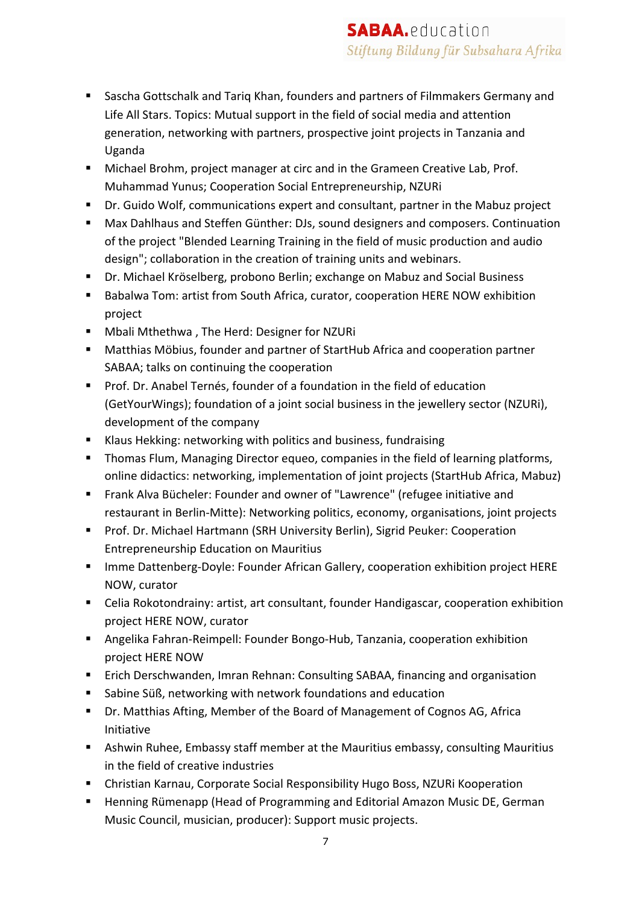- Sascha Gottschalk and Tariq Khan, founders and partners of Filmmakers Germany and Life All Stars. Topics: Mutual support in the field of social media and attention generation, networking with partners, prospective joint projects in Tanzania and Uganda
- Michael Brohm, project manager at circ and in the Grameen Creative Lab, Prof. Muhammad Yunus; Cooperation Social Entrepreneurship, NZURi
- Dr. Guido Wolf, communications expert and consultant, partner in the Mabuz project
- § Max Dahlhaus and Steffen Günther: DJs, sound designers and composers. Continuation of the project "Blended Learning Training in the field of music production and audio design"; collaboration in the creation of training units and webinars.
- Dr. Michael Kröselberg, probono Berlin; exchange on Mabuz and Social Business
- § Babalwa Tom: artist from South Africa, curator, cooperation HERE NOW exhibition project
- Mbali Mthethwa, The Herd: Designer for NZURi
- Matthias Möbius, founder and partner of StartHub Africa and cooperation partner SABAA; talks on continuing the cooperation
- Prof. Dr. Anabel Ternés, founder of a foundation in the field of education (GetYourWings); foundation of a joint social business in the jewellery sector (NZURi), development of the company
- Klaus Hekking: networking with politics and business, fundraising
- Thomas Flum, Managing Director equeo, companies in the field of learning platforms, online didactics: networking, implementation of joint projects (StartHub Africa, Mabuz)
- Frank Alva Bücheler: Founder and owner of "Lawrence" (refugee initiative and restaurant in Berlin-Mitte): Networking politics, economy, organisations, joint projects
- Prof. Dr. Michael Hartmann (SRH University Berlin), Sigrid Peuker: Cooperation Entrepreneurship Education on Mauritius
- Imme Dattenberg-Doyle: Founder African Gallery, cooperation exhibition project HERE NOW, curator
- Celia Rokotondrainy: artist, art consultant, founder Handigascar, cooperation exhibition project HERE NOW, curator
- Angelika Fahran-Reimpell: Founder Bongo-Hub, Tanzania, cooperation exhibition project HERE NOW
- Erich Derschwanden, Imran Rehnan: Consulting SABAA, financing and organisation
- Sabine Süß, networking with network foundations and education
- Dr. Matthias Afting, Member of the Board of Management of Cognos AG, Africa Initiative
- Ashwin Ruhee, Embassy staff member at the Mauritius embassy, consulting Mauritius in the field of creative industries
- Christian Karnau, Corporate Social Responsibility Hugo Boss, NZURi Kooperation
- § Henning Rümenapp (Head of Programming and Editorial Amazon Music DE, German Music Council, musician, producer): Support music projects.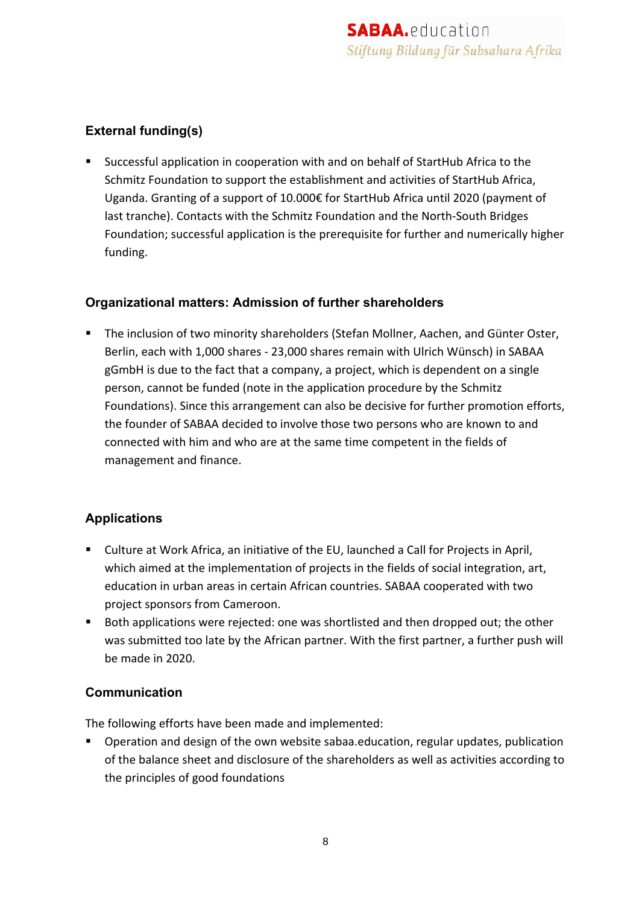#### **External funding(s)**

■ Successful application in cooperation with and on behalf of StartHub Africa to the Schmitz Foundation to support the establishment and activities of StartHub Africa, Uganda. Granting of a support of 10.000€ for StartHub Africa until 2020 (payment of last tranche). Contacts with the Schmitz Foundation and the North-South Bridges Foundation; successful application is the prerequisite for further and numerically higher funding.

#### **Organizational matters: Admission of further shareholders**

■ The inclusion of two minority shareholders (Stefan Mollner, Aachen, and Günter Oster, Berlin, each with 1,000 shares - 23,000 shares remain with Ulrich Wünsch) in SABAA gGmbH is due to the fact that a company, a project, which is dependent on a single person, cannot be funded (note in the application procedure by the Schmitz Foundations). Since this arrangement can also be decisive for further promotion efforts, the founder of SABAA decided to involve those two persons who are known to and connected with him and who are at the same time competent in the fields of management and finance.

#### **Applications**

- Culture at Work Africa, an initiative of the EU, launched a Call for Projects in April, which aimed at the implementation of projects in the fields of social integration, art, education in urban areas in certain African countries. SABAA cooperated with two project sponsors from Cameroon.
- Both applications were rejected: one was shortlisted and then dropped out; the other was submitted too late by the African partner. With the first partner, a further push will be made in 2020.

#### **Communication**

The following efforts have been made and implemented:

■ Operation and design of the own website sabaa.education, regular updates, publication of the balance sheet and disclosure of the shareholders as well as activities according to the principles of good foundations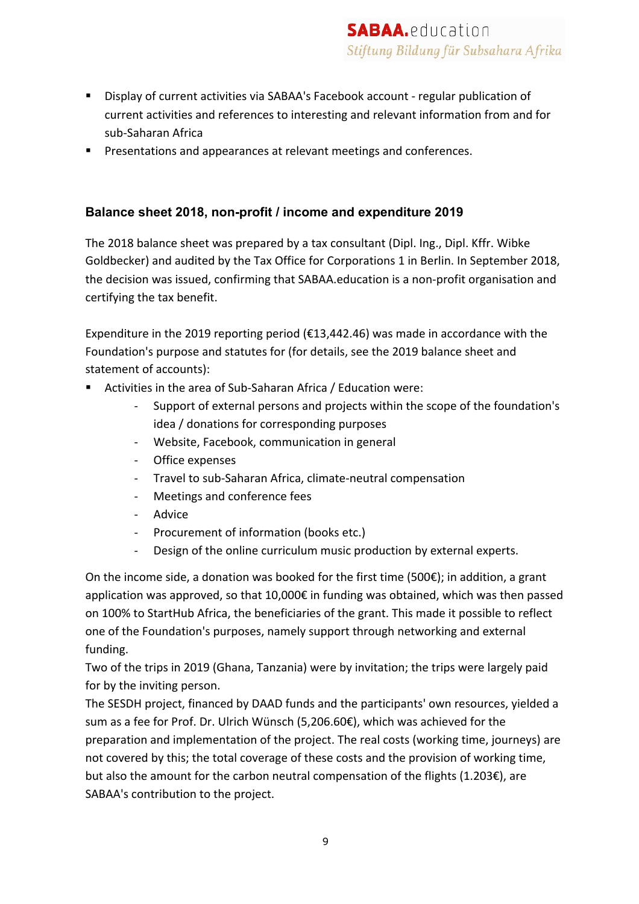- Display of current activities via SABAA's Facebook account regular publication of current activities and references to interesting and relevant information from and for sub-Saharan Africa
- Presentations and appearances at relevant meetings and conferences.

#### **Balance sheet 2018, non-profit / income and expenditure 2019**

The 2018 balance sheet was prepared by a tax consultant (Dipl. Ing., Dipl. Kffr. Wibke Goldbecker) and audited by the Tax Office for Corporations 1 in Berlin. In September 2018, the decision was issued, confirming that SABAA.education is a non-profit organisation and certifying the tax benefit.

Expenditure in the 2019 reporting period (€13,442.46) was made in accordance with the Foundation's purpose and statutes for (for details, see the 2019 balance sheet and statement of accounts):

- Activities in the area of Sub-Saharan Africa / Education were:
	- Support of external persons and projects within the scope of the foundation's idea / donations for corresponding purposes
	- Website, Facebook, communication in general
	- Office expenses
	- Travel to sub-Saharan Africa, climate-neutral compensation
	- Meetings and conference fees
	- Advice
	- Procurement of information (books etc.)
	- Design of the online curriculum music production by external experts.

On the income side, a donation was booked for the first time (500 $\epsilon$ ); in addition, a grant application was approved, so that 10,000€ in funding was obtained, which was then passed on 100% to StartHub Africa, the beneficiaries of the grant. This made it possible to reflect one of the Foundation's purposes, namely support through networking and external funding.

Two of the trips in 2019 (Ghana, Tanzania) were by invitation; the trips were largely paid for by the inviting person.

The SESDH project, financed by DAAD funds and the participants' own resources, yielded a sum as a fee for Prof. Dr. Ulrich Wünsch (5,206.60€), which was achieved for the preparation and implementation of the project. The real costs (working time, journeys) are not covered by this; the total coverage of these costs and the provision of working time, but also the amount for the carbon neutral compensation of the flights  $(1.203)$  are SABAA's contribution to the project.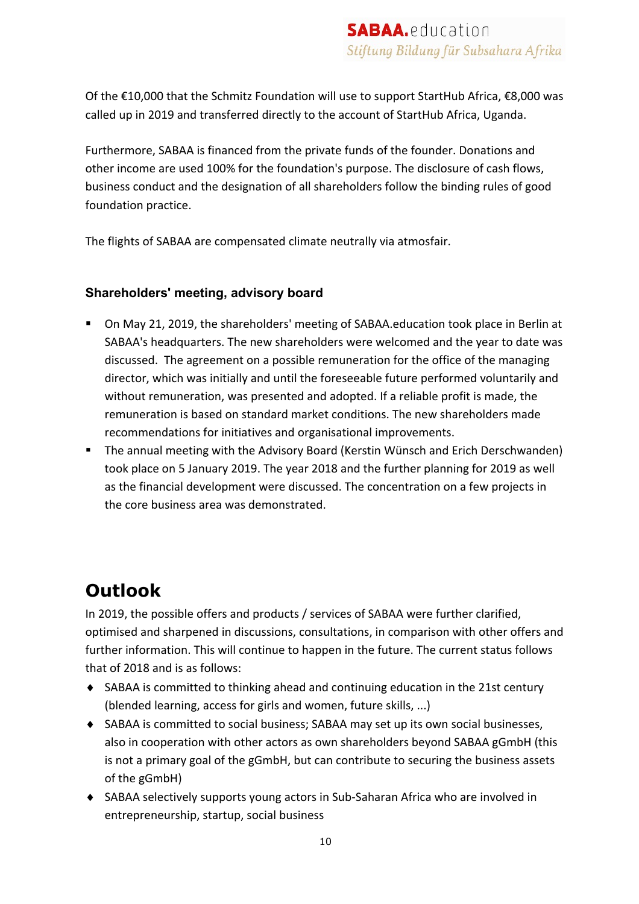Of the €10,000 that the Schmitz Foundation will use to support StartHub Africa, €8,000 was called up in 2019 and transferred directly to the account of StartHub Africa, Uganda.

Furthermore, SABAA is financed from the private funds of the founder. Donations and other income are used 100% for the foundation's purpose. The disclosure of cash flows, business conduct and the designation of all shareholders follow the binding rules of good foundation practice.

The flights of SABAA are compensated climate neutrally via atmosfair.

#### **Shareholders' meeting, advisory board**

- On May 21, 2019, the shareholders' meeting of SABAA.education took place in Berlin at SABAA's headquarters. The new shareholders were welcomed and the year to date was discussed. The agreement on a possible remuneration for the office of the managing director, which was initially and until the foreseeable future performed voluntarily and without remuneration, was presented and adopted. If a reliable profit is made, the remuneration is based on standard market conditions. The new shareholders made recommendations for initiatives and organisational improvements.
- The annual meeting with the Advisory Board (Kerstin Wünsch and Erich Derschwanden) took place on 5 January 2019. The year 2018 and the further planning for 2019 as well as the financial development were discussed. The concentration on a few projects in the core business area was demonstrated.

## **Outlook**

In 2019, the possible offers and products / services of SABAA were further clarified, optimised and sharpened in discussions, consultations, in comparison with other offers and further information. This will continue to happen in the future. The current status follows that of 2018 and is as follows:

- $\triangle$  SABAA is committed to thinking ahead and continuing education in the 21st century (blended learning, access for girls and women, future skills, ...)
- ◆ SABAA is committed to social business; SABAA may set up its own social businesses, also in cooperation with other actors as own shareholders beyond SABAA gGmbH (this is not a primary goal of the gGmbH, but can contribute to securing the business assets of the gGmbH)
- ◆ SABAA selectively supports young actors in Sub-Saharan Africa who are involved in entrepreneurship, startup, social business